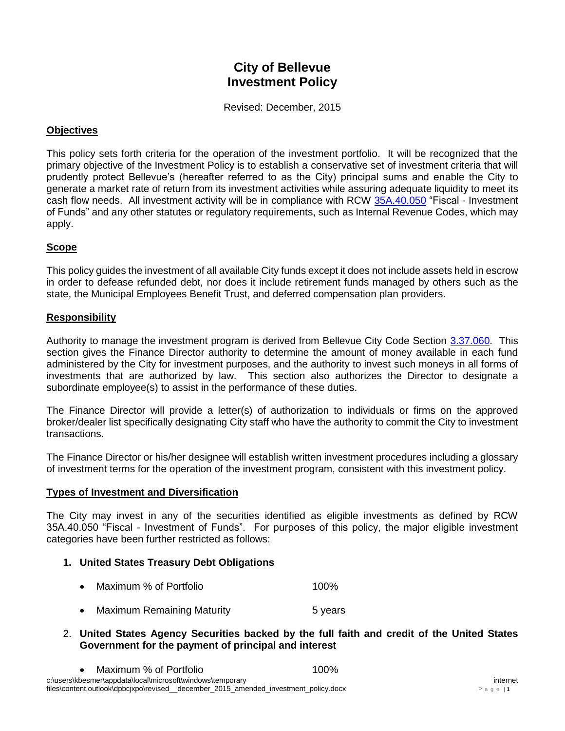# **City of Bellevue Investment Policy**

Revised: December, 2015

## **Objectives**

This policy sets forth criteria for the operation of the investment portfolio. It will be recognized that the primary objective of the Investment Policy is to establish a conservative set of investment criteria that will prudently protect Bellevue's (hereafter referred to as the City) principal sums and enable the City to generate a market rate of return from its investment activities while assuring adequate liquidity to meet its cash flow needs. All investment activity will be in compliance with RCW [35A.40.050](http://apps.leg.wa.gov/RCW/default.aspx?cite=35A.40.050) "Fiscal - Investment of Funds" and any other statutes or regulatory requirements, such as Internal Revenue Codes, which may apply.

# **Scope**

This policy guides the investment of all available City funds except it does not include assets held in escrow in order to defease refunded debt, nor does it include retirement funds managed by others such as the state, the Municipal Employees Benefit Trust, and deferred compensation plan providers.

## **Responsibility**

Authority to manage the investment program is derived from Bellevue City Code Section [3.37.060.](http://www.codepublishing.com/WA/Bellevue/html/Bellevue03/Bellevue0337.html) This section gives the Finance Director authority to determine the amount of money available in each fund administered by the City for investment purposes, and the authority to invest such moneys in all forms of investments that are authorized by law. This section also authorizes the Director to designate a subordinate employee(s) to assist in the performance of these duties.

The Finance Director will provide a letter(s) of authorization to individuals or firms on the approved broker/dealer list specifically designating City staff who have the authority to commit the City to investment transactions.

The Finance Director or his/her designee will establish written investment procedures including a glossary of investment terms for the operation of the investment program, consistent with this investment policy.

## **Types of Investment and Diversification**

The City may invest in any of the securities identified as eligible investments as defined by RCW 35A.40.050 "Fiscal - Investment of Funds". For purposes of this policy, the major eligible investment categories have been further restricted as follows:

## **1. United States Treasury Debt Obligations**

- Maximum % of Portfolio **100%**
- Maximum Remaining Maturity **Fig. 10. Maximum Remaining Maturity** 6 years

## 2. **United States Agency Securities backed by the full faith and credit of the United States Government for the payment of principal and interest**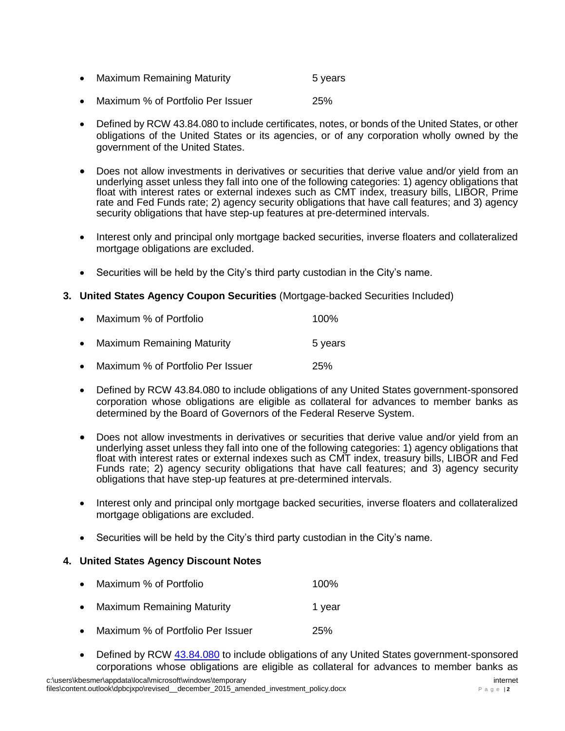|  |  | <b>Maximum Remaining Maturity</b> | 5 years |
|--|--|-----------------------------------|---------|
|--|--|-----------------------------------|---------|

- Maximum % of Portfolio Per Issuer 25%
- Defined by RCW 43.84.080 to include certificates, notes, or bonds of the United States, or other obligations of the United States or its agencies, or of any corporation wholly owned by the government of the United States.
- Does not allow investments in derivatives or securities that derive value and/or yield from an underlying asset unless they fall into one of the following categories: 1) agency obligations that float with interest rates or external indexes such as CMT index, treasury bills, LIBOR, Prime rate and Fed Funds rate; 2) agency security obligations that have call features; and 3) agency security obligations that have step-up features at pre-determined intervals.
- Interest only and principal only mortgage backed securities, inverse floaters and collateralized mortgage obligations are excluded.
- Securities will be held by the City's third party custodian in the City's name.
- **3. United States Agency Coupon Securities** (Mortgage-backed Securities Included)

|           | • Maximum % of Portfolio            | 100%    |
|-----------|-------------------------------------|---------|
| $\bullet$ | <b>Maximum Remaining Maturity</b>   | 5 years |
|           | • Maximum % of Portfolio Per Issuer | 25%     |

- Defined by RCW 43.84.080 to include obligations of any United States government-sponsored corporation whose obligations are eligible as collateral for advances to member banks as determined by the Board of Governors of the Federal Reserve System.
- Does not allow investments in derivatives or securities that derive value and/or yield from an underlying asset unless they fall into one of the following categories: 1) agency obligations that float with interest rates or external indexes such as CMT index, treasury bills, LIBOR and Fed Funds rate; 2) agency security obligations that have call features; and 3) agency security obligations that have step-up features at pre-determined intervals.
- Interest only and principal only mortgage backed securities, inverse floaters and collateralized mortgage obligations are excluded.
- Securities will be held by the City's third party custodian in the City's name.

# **4. United States Agency Discount Notes**

|           | • Maximum % of Portfolio          | 100%   |
|-----------|-----------------------------------|--------|
| $\bullet$ | <b>Maximum Remaining Maturity</b> | 1 year |
| $\bullet$ | Maximum % of Portfolio Per Issuer | 25%    |

Defined by RCW  $43.84.080$  to include obligations of any United States government-sponsored corporations whose obligations are eligible as collateral for advances to member banks as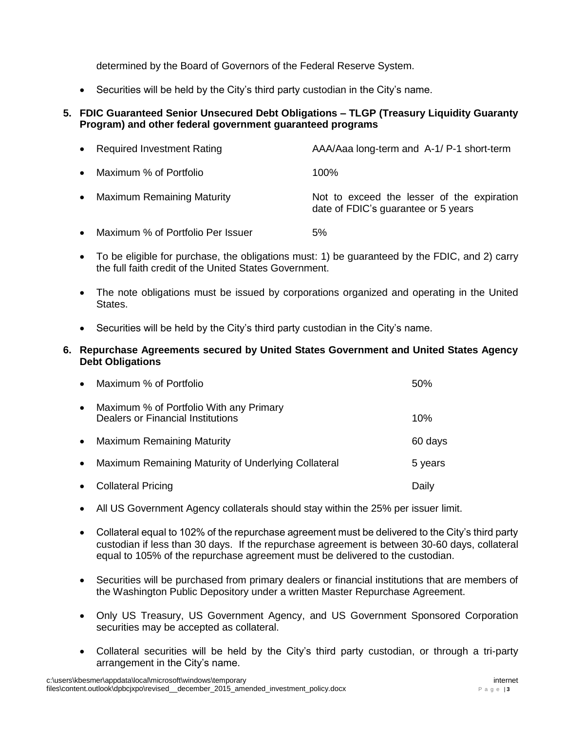determined by the Board of Governors of the Federal Reserve System.

Securities will be held by the City's third party custodian in the City's name.

## **5. FDIC Guaranteed Senior Unsecured Debt Obligations – TLGP (Treasury Liquidity Guaranty Program) and other federal government guaranteed programs**

|           | • Required Investment Rating      | AAA/Aaa long-term and A-1/ P-1 short-term                                         |
|-----------|-----------------------------------|-----------------------------------------------------------------------------------|
| $\bullet$ | Maximum % of Portfolio            | $100\%$                                                                           |
| $\bullet$ | <b>Maximum Remaining Maturity</b> | Not to exceed the lesser of the expiration<br>date of FDIC's guarantee or 5 years |

- Maximum % of Portfolio Per Issuer 5%
- To be eligible for purchase, the obligations must: 1) be guaranteed by the FDIC, and 2) carry the full faith credit of the United States Government.
- The note obligations must be issued by corporations organized and operating in the United States.
- Securities will be held by the City's third party custodian in the City's name.

#### **6. Repurchase Agreements secured by United States Government and United States Agency Debt Obligations**

| $\bullet$ | Maximum % of Portfolio                                                       | 50%     |
|-----------|------------------------------------------------------------------------------|---------|
| $\bullet$ | Maximum % of Portfolio With any Primary<br>Dealers or Financial Institutions | 10%     |
| $\bullet$ | <b>Maximum Remaining Maturity</b>                                            | 60 days |
| $\bullet$ | Maximum Remaining Maturity of Underlying Collateral                          | 5 years |
| $\bullet$ | <b>Collateral Pricing</b>                                                    | Daily   |

- All US Government Agency collaterals should stay within the 25% per issuer limit.
- Collateral equal to 102% of the repurchase agreement must be delivered to the City's third party custodian if less than 30 days. If the repurchase agreement is between 30-60 days, collateral equal to 105% of the repurchase agreement must be delivered to the custodian.
- Securities will be purchased from primary dealers or financial institutions that are members of the Washington Public Depository under a written Master Repurchase Agreement.
- Only US Treasury, US Government Agency, and US Government Sponsored Corporation securities may be accepted as collateral.
- Collateral securities will be held by the City's third party custodian, or through a tri-party arrangement in the City's name.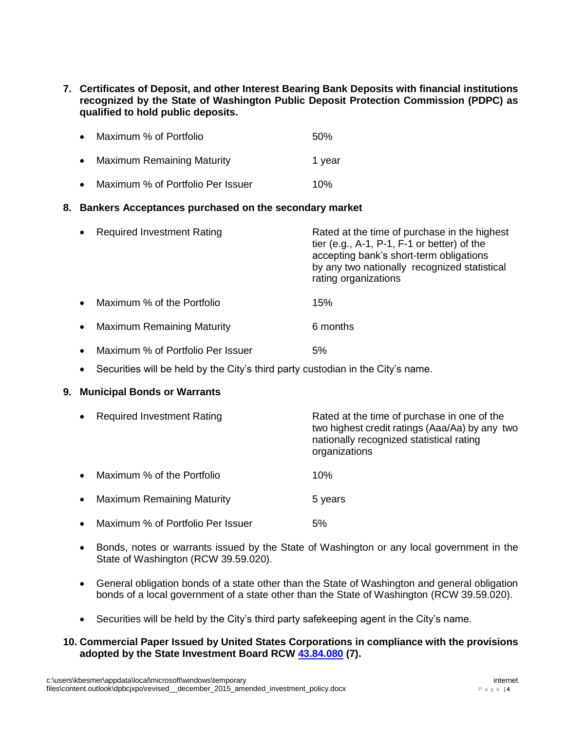**7. Certificates of Deposit, and other Interest Bearing Bank Deposits with financial institutions recognized by the State of Washington Public Deposit Protection Commission (PDPC) as qualified to hold public deposits.**

|           | • Maximum % of Portfolio          | .50%   |
|-----------|-----------------------------------|--------|
| $\bullet$ | <b>Maximum Remaining Maturity</b> | 1 year |
| $\bullet$ | Maximum % of Portfolio Per Issuer | 10%    |

## **8. Bankers Acceptances purchased on the secondary market**

|           | • Required Investment Rating      | Rated at the time of purchase in the highest<br>tier (e.g., $A-1$ , $P-1$ , $F-1$ or better) of the<br>accepting bank's short-term obligations<br>by any two nationally recognized statistical<br>rating organizations |
|-----------|-----------------------------------|------------------------------------------------------------------------------------------------------------------------------------------------------------------------------------------------------------------------|
| $\bullet$ | Maximum % of the Portfolio        | 15%                                                                                                                                                                                                                    |
| $\bullet$ | <b>Maximum Remaining Maturity</b> | 6 months                                                                                                                                                                                                               |

- Maximum % of Portfolio Per Issuer 5%
- Securities will be held by the City's third party custodian in the City's name.

## **9. Municipal Bonds or Warrants**

| $\bullet$ | <b>Required Investment Rating</b> | Rated at the time of purchase in one of the<br>two highest credit ratings (Aaa/Aa) by any two<br>nationally recognized statistical rating<br>organizations |
|-----------|-----------------------------------|------------------------------------------------------------------------------------------------------------------------------------------------------------|
| $\bullet$ | Maximum % of the Portfolio        | 10%                                                                                                                                                        |
| $\bullet$ | <b>Maximum Remaining Maturity</b> | 5 years                                                                                                                                                    |
| $\bullet$ | Maximum % of Portfolio Per Issuer | 5%                                                                                                                                                         |

- Bonds, notes or warrants issued by the State of Washington or any local government in the State of Washington (RCW 39.59.020).
- General obligation bonds of a state other than the State of Washington and general obligation bonds of a local government of a state other than the State of Washington (RCW 39.59.020).
- Securities will be held by the City's third party safekeeping agent in the City's name.

## **10. Commercial Paper Issued by United States Corporations in compliance with the provisions adopted by the State Investment Board RCW [43.84.080](http://apps.leg.wa.gov/RCW/default.aspx?cite=43.84.080) (7).**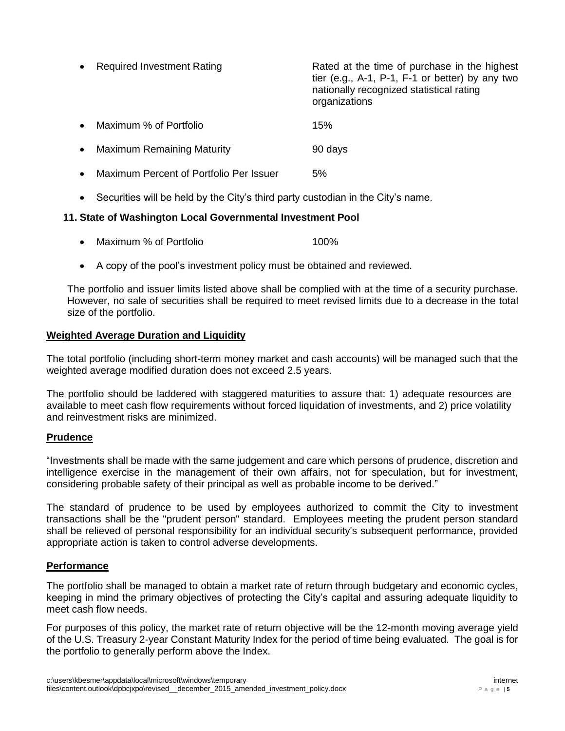|           | <b>Required Investment Rating</b>       | Rated at the time of purchase in the highest<br>tier (e.g., $A-1$ , $P-1$ , $F-1$ or better) by any two<br>nationally recognized statistical rating<br>organizations |
|-----------|-----------------------------------------|----------------------------------------------------------------------------------------------------------------------------------------------------------------------|
|           | Maximum % of Portfolio                  | 15%                                                                                                                                                                  |
| $\bullet$ | <b>Maximum Remaining Maturity</b>       | 90 days                                                                                                                                                              |
|           | Maximum Percent of Portfolio Per Issuer | 5%                                                                                                                                                                   |

Securities will be held by the City's third party custodian in the City's name.

## **11. State of Washington Local Governmental Investment Pool**

- Maximum % of Portfolio **100%**
- A copy of the pool's investment policy must be obtained and reviewed.

The portfolio and issuer limits listed above shall be complied with at the time of a security purchase. However, no sale of securities shall be required to meet revised limits due to a decrease in the total size of the portfolio.

#### **Weighted Average Duration and Liquidity**

The total portfolio (including short-term money market and cash accounts) will be managed such that the weighted average modified duration does not exceed 2.5 years.

The portfolio should be laddered with staggered maturities to assure that: 1) adequate resources are available to meet cash flow requirements without forced liquidation of investments, and 2) price volatility and reinvestment risks are minimized.

## **Prudence**

"Investments shall be made with the same judgement and care which persons of prudence, discretion and intelligence exercise in the management of their own affairs, not for speculation, but for investment, considering probable safety of their principal as well as probable income to be derived."

The standard of prudence to be used by employees authorized to commit the City to investment transactions shall be the "prudent person" standard. Employees meeting the prudent person standard shall be relieved of personal responsibility for an individual security's subsequent performance, provided appropriate action is taken to control adverse developments.

## **Performance**

The portfolio shall be managed to obtain a market rate of return through budgetary and economic cycles, keeping in mind the primary objectives of protecting the City's capital and assuring adequate liquidity to meet cash flow needs.

For purposes of this policy, the market rate of return objective will be the 12-month moving average yield of the U.S. Treasury 2-year Constant Maturity Index for the period of time being evaluated. The goal is for the portfolio to generally perform above the Index.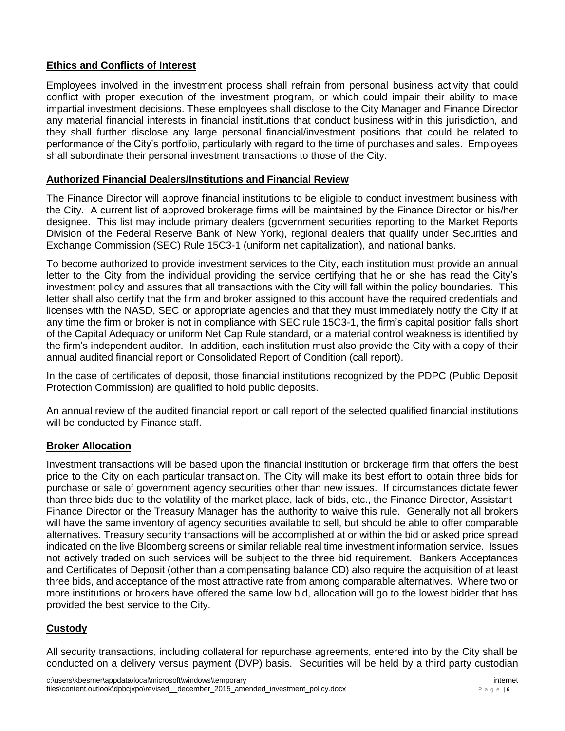# **Ethics and Conflicts of Interest**

Employees involved in the investment process shall refrain from personal business activity that could conflict with proper execution of the investment program, or which could impair their ability to make impartial investment decisions. These employees shall disclose to the City Manager and Finance Director any material financial interests in financial institutions that conduct business within this jurisdiction, and they shall further disclose any large personal financial/investment positions that could be related to performance of the City's portfolio, particularly with regard to the time of purchases and sales. Employees shall subordinate their personal investment transactions to those of the City.

## **Authorized Financial Dealers/Institutions and Financial Review**

The Finance Director will approve financial institutions to be eligible to conduct investment business with the City. A current list of approved brokerage firms will be maintained by the Finance Director or his/her designee. This list may include primary dealers (government securities reporting to the Market Reports Division of the Federal Reserve Bank of New York), regional dealers that qualify under Securities and Exchange Commission (SEC) Rule 15C3-1 (uniform net capitalization), and national banks.

To become authorized to provide investment services to the City, each institution must provide an annual letter to the City from the individual providing the service certifying that he or she has read the City's investment policy and assures that all transactions with the City will fall within the policy boundaries. This letter shall also certify that the firm and broker assigned to this account have the required credentials and licenses with the NASD, SEC or appropriate agencies and that they must immediately notify the City if at any time the firm or broker is not in compliance with SEC rule 15C3-1, the firm's capital position falls short of the Capital Adequacy or uniform Net Cap Rule standard, or a material control weakness is identified by the firm's independent auditor. In addition, each institution must also provide the City with a copy of their annual audited financial report or Consolidated Report of Condition (call report).

In the case of certificates of deposit, those financial institutions recognized by the PDPC (Public Deposit Protection Commission) are qualified to hold public deposits.

An annual review of the audited financial report or call report of the selected qualified financial institutions will be conducted by Finance staff.

## **Broker Allocation**

Investment transactions will be based upon the financial institution or brokerage firm that offers the best price to the City on each particular transaction. The City will make its best effort to obtain three bids for purchase or sale of government agency securities other than new issues. If circumstances dictate fewer than three bids due to the volatility of the market place, lack of bids, etc., the Finance Director, Assistant Finance Director or the Treasury Manager has the authority to waive this rule. Generally not all brokers will have the same inventory of agency securities available to sell, but should be able to offer comparable alternatives. Treasury security transactions will be accomplished at or within the bid or asked price spread indicated on the live Bloomberg screens or similar reliable real time investment information service.Issues not actively traded on such services will be subject to the three bid requirement. Bankers Acceptances and Certificates of Deposit (other than a compensating balance CD) also require the acquisition of at least three bids, and acceptance of the most attractive rate from among comparable alternatives. Where two or more institutions or brokers have offered the same low bid, allocation will go to the lowest bidder that has provided the best service to the City.

# **Custody**

All security transactions, including collateral for repurchase agreements, entered into by the City shall be conducted on a delivery versus payment (DVP) basis. Securities will be held by a third party custodian